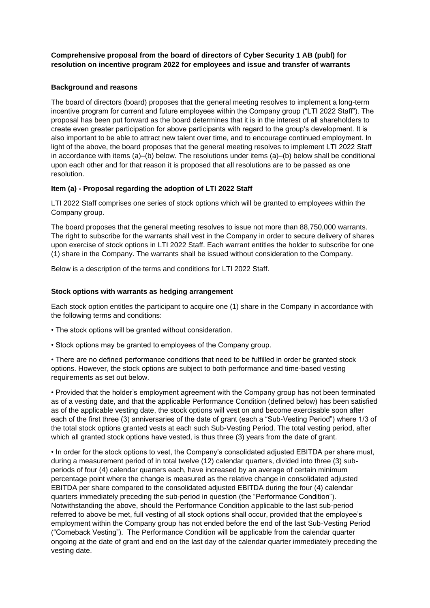**Comprehensive proposal from the board of directors of Cyber Security 1 AB (publ) for resolution on incentive program 2022 for employees and issue and transfer of warrants**

## **Background and reasons**

The board of directors (board) proposes that the general meeting resolves to implement a long-term incentive program for current and future employees within the Company group ("LTI 2022 Staff"). The proposal has been put forward as the board determines that it is in the interest of all shareholders to create even greater participation for above participants with regard to the group's development. It is also important to be able to attract new talent over time, and to encourage continued employment. In light of the above, the board proposes that the general meeting resolves to implement LTI 2022 Staff in accordance with items (a)–(b) below. The resolutions under items (a)–(b) below shall be conditional upon each other and for that reason it is proposed that all resolutions are to be passed as one resolution.

## **Item (a) - Proposal regarding the adoption of LTI 2022 Staff**

LTI 2022 Staff comprises one series of stock options which will be granted to employees within the Company group.

The board proposes that the general meeting resolves to issue not more than 88,750,000 warrants. The right to subscribe for the warrants shall vest in the Company in order to secure delivery of shares upon exercise of stock options in LTI 2022 Staff. Each warrant entitles the holder to subscribe for one (1) share in the Company. The warrants shall be issued without consideration to the Company.

Below is a description of the terms and conditions for LTI 2022 Staff.

## **Stock options with warrants as hedging arrangement**

Each stock option entitles the participant to acquire one (1) share in the Company in accordance with the following terms and conditions:

- The stock options will be granted without consideration.
- Stock options may be granted to employees of the Company group.

• There are no defined performance conditions that need to be fulfilled in order be granted stock options. However, the stock options are subject to both performance and time-based vesting requirements as set out below.

• Provided that the holder's employment agreement with the Company group has not been terminated as of a vesting date, and that the applicable Performance Condition (defined below) has been satisfied as of the applicable vesting date, the stock options will vest on and become exercisable soon after each of the first three (3) anniversaries of the date of grant (each a "Sub-Vesting Period") where 1/3 of the total stock options granted vests at each such Sub-Vesting Period. The total vesting period, after which all granted stock options have vested, is thus three (3) years from the date of grant.

• In order for the stock options to vest, the Company's consolidated adjusted EBITDA per share must, during a measurement period of in total twelve (12) calendar quarters, divided into three (3) subperiods of four (4) calendar quarters each, have increased by an average of certain minimum percentage point where the change is measured as the relative change in consolidated adjusted EBITDA per share compared to the consolidated adjusted EBITDA during the four (4) calendar quarters immediately preceding the sub-period in question (the "Performance Condition"). Notwithstanding the above, should the Performance Condition applicable to the last sub-period referred to above be met, full vesting of all stock options shall occur, provided that the employee's employment within the Company group has not ended before the end of the last Sub-Vesting Period ("Comeback Vesting"). The Performance Condition will be applicable from the calendar quarter ongoing at the date of grant and end on the last day of the calendar quarter immediately preceding the vesting date.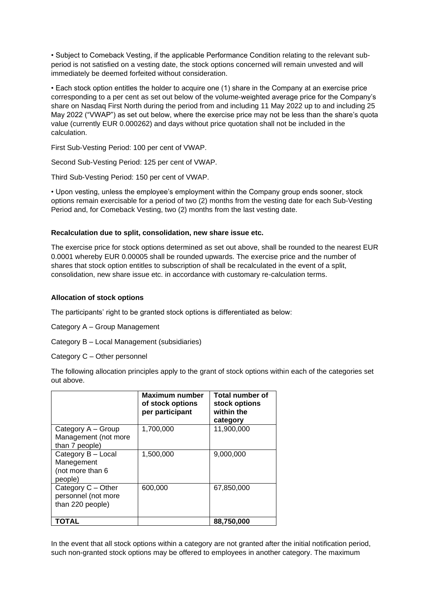• Subject to Comeback Vesting, if the applicable Performance Condition relating to the relevant subperiod is not satisfied on a vesting date, the stock options concerned will remain unvested and will immediately be deemed forfeited without consideration.

• Each stock option entitles the holder to acquire one (1) share in the Company at an exercise price corresponding to a per cent as set out below of the volume-weighted average price for the Company's share on Nasdaq First North during the period from and including 11 May 2022 up to and including 25 May 2022 ("VWAP") as set out below, where the exercise price may not be less than the share's quota value (currently EUR 0.000262) and days without price quotation shall not be included in the calculation.

First Sub-Vesting Period: 100 per cent of VWAP.

Second Sub-Vesting Period: 125 per cent of VWAP.

Third Sub-Vesting Period: 150 per cent of VWAP.

• Upon vesting, unless the employee's employment within the Company group ends sooner, stock options remain exercisable for a period of two (2) months from the vesting date for each Sub-Vesting Period and, for Comeback Vesting, two (2) months from the last vesting date.

## **Recalculation due to split, consolidation, new share issue etc.**

The exercise price for stock options determined as set out above, shall be rounded to the nearest EUR 0.0001 whereby EUR 0.00005 shall be rounded upwards. The exercise price and the number of shares that stock option entitles to subscription of shall be recalculated in the event of a split, consolidation, new share issue etc. in accordance with customary re-calculation terms.

## **Allocation of stock options**

The participants' right to be granted stock options is differentiated as below:

Category A – Group Management

Category B – Local Management (subsidiaries)

Category C – Other personnel

The following allocation principles apply to the grant of stock options within each of the categories set out above.

|                                                                 | Maximum number<br>of stock options<br>per participant | Total number of<br>stock options<br>within the<br>category |
|-----------------------------------------------------------------|-------------------------------------------------------|------------------------------------------------------------|
| Category A – Group                                              | 1,700,000                                             | 11,900,000                                                 |
| Management (not more<br>than 7 people)                          |                                                       |                                                            |
| Category B - Local<br>Manegement<br>(not more than 6<br>people) | 1,500,000                                             | 9,000,000                                                  |
| Category C - Other<br>personnel (not more<br>than 220 people)   | 600,000                                               | 67,850,000                                                 |
| <b>TOTAL</b>                                                    |                                                       | 88,750,000                                                 |

In the event that all stock options within a category are not granted after the initial notification period, such non-granted stock options may be offered to employees in another category. The maximum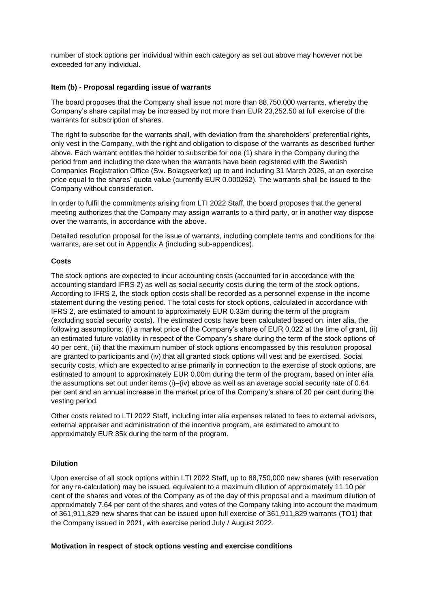number of stock options per individual within each category as set out above may however not be exceeded for any individual.

## **Item (b) - Proposal regarding issue of warrants**

The board proposes that the Company shall issue not more than 88,750,000 warrants, whereby the Company's share capital may be increased by not more than EUR 23,252.50 at full exercise of the warrants for subscription of shares.

The right to subscribe for the warrants shall, with deviation from the shareholders' preferential rights, only vest in the Company, with the right and obligation to dispose of the warrants as described further above. Each warrant entitles the holder to subscribe for one (1) share in the Company during the period from and including the date when the warrants have been registered with the Swedish Companies Registration Office (Sw. Bolagsverket) up to and including 31 March 2026, at an exercise price equal to the shares' quota value (currently EUR 0.000262). The warrants shall be issued to the Company without consideration.

In order to fulfil the commitments arising from LTI 2022 Staff, the board proposes that the general meeting authorizes that the Company may assign warrants to a third party, or in another way dispose over the warrants, in accordance with the above.

Detailed resolution proposal for the issue of warrants, including complete terms and conditions for the warrants, are set out in Appendix A (including sub-appendices).

## **Costs**

The stock options are expected to incur accounting costs (accounted for in accordance with the accounting standard IFRS 2) as well as social security costs during the term of the stock options. According to IFRS 2, the stock option costs shall be recorded as a personnel expense in the income statement during the vesting period. The total costs for stock options, calculated in accordance with IFRS 2, are estimated to amount to approximately EUR 0.33m during the term of the program (excluding social security costs). The estimated costs have been calculated based on, inter alia, the following assumptions: (i) a market price of the Company's share of EUR 0.022 at the time of grant, (ii) an estimated future volatility in respect of the Company's share during the term of the stock options of 40 per cent, (iii) that the maximum number of stock options encompassed by this resolution proposal are granted to participants and (iv) that all granted stock options will vest and be exercised. Social security costs, which are expected to arise primarily in connection to the exercise of stock options, are estimated to amount to approximately EUR 0.00m during the term of the program, based on inter alia the assumptions set out under items (i)–(iv) above as well as an average social security rate of 0.64 per cent and an annual increase in the market price of the Company's share of 20 per cent during the vesting period.

Other costs related to LTI 2022 Staff, including inter alia expenses related to fees to external advisors, external appraiser and administration of the incentive program, are estimated to amount to approximately EUR 85k during the term of the program.

#### **Dilution**

Upon exercise of all stock options within LTI 2022 Staff, up to 88,750,000 new shares (with reservation for any re-calculation) may be issued, equivalent to a maximum dilution of approximately 11.10 per cent of the shares and votes of the Company as of the day of this proposal and a maximum dilution of approximately 7.64 per cent of the shares and votes of the Company taking into account the maximum of 361,911,829 new shares that can be issued upon full exercise of 361,911,829 warrants (TO1) that the Company issued in 2021, with exercise period July / August 2022.

#### **Motivation in respect of stock options vesting and exercise conditions**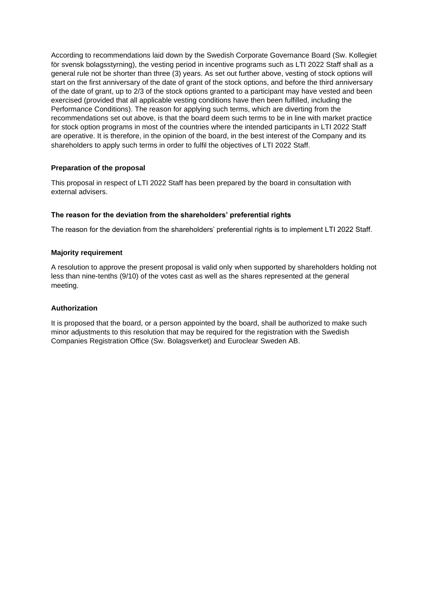According to recommendations laid down by the Swedish Corporate Governance Board (Sw. Kollegiet för svensk bolagsstyrning), the vesting period in incentive programs such as LTI 2022 Staff shall as a general rule not be shorter than three (3) years. As set out further above, vesting of stock options will start on the first anniversary of the date of grant of the stock options, and before the third anniversary of the date of grant, up to 2/3 of the stock options granted to a participant may have vested and been exercised (provided that all applicable vesting conditions have then been fulfilled, including the Performance Conditions). The reason for applying such terms, which are diverting from the recommendations set out above, is that the board deem such terms to be in line with market practice for stock option programs in most of the countries where the intended participants in LTI 2022 Staff are operative. It is therefore, in the opinion of the board, in the best interest of the Company and its shareholders to apply such terms in order to fulfil the objectives of LTI 2022 Staff.

## **Preparation of the proposal**

This proposal in respect of LTI 2022 Staff has been prepared by the board in consultation with external advisers.

## **The reason for the deviation from the shareholders' preferential rights**

The reason for the deviation from the shareholders' preferential rights is to implement LTI 2022 Staff.

## **Majority requirement**

A resolution to approve the present proposal is valid only when supported by shareholders holding not less than nine-tenths (9/10) of the votes cast as well as the shares represented at the general meeting.

## **Authorization**

It is proposed that the board, or a person appointed by the board, shall be authorized to make such minor adjustments to this resolution that may be required for the registration with the Swedish Companies Registration Office (Sw. Bolagsverket) and Euroclear Sweden AB.